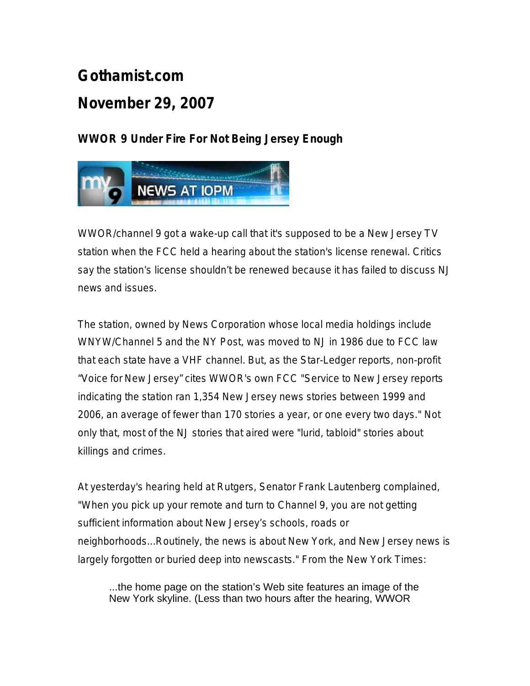## **Gothamist.com**

## **November 29, 2007**

## **WWOR 9 Under Fire For Not Being Jersey Enough**



WWOR/channel 9 got a wake-up call that it's supposed to be a New Jersey TV station when the FCC held a hearing about the station's license renewal. Critics say the station's license shouldn't be renewed because it has failed to discuss NJ news and issues.

The station, owned by News Corporation whose local media holdings include WNYW/Channel 5 and the NY Post, was moved to NJ in 1986 due to FCC law that each state have a VHF channel. But, as the Star-Ledger reports, non-profit "Voice for New Jersey" cites WWOR's own FCC "Service to New Jersey reports indicating the station ran 1,354 New Jersey news stories between 1999 and 2006, an average of fewer than 170 stories a year, or one every two days." Not only that, most of the NJ stories that aired were "lurid, tabloid" stories about killings and crimes.

At yesterday's hearing held at Rutgers, Senator Frank Lautenberg complained, "When you pick up your remote and turn to Channel 9, you are not getting sufficient information about New Jersey's schools, roads or neighborhoods...Routinely, the news is about New York, and New Jersey news is largely forgotten or buried deep into newscasts." From the New York Times:

...the home page on the station's Web site features an image of the New York skyline. (Less than two hours after the hearing, WWOR